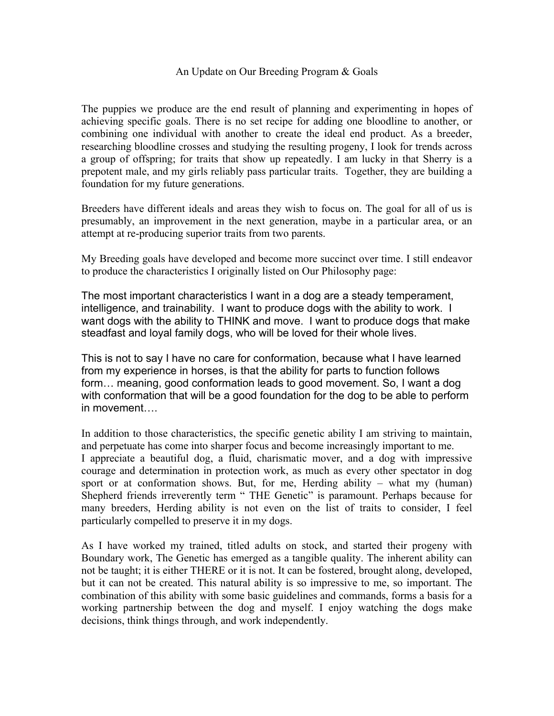## An Update on Our Breeding Program & Goals

The puppies we produce are the end result of planning and experimenting in hopes of achieving specific goals. There is no set recipe for adding one bloodline to another, or combining one individual with another to create the ideal end product. As a breeder, researching bloodline crosses and studying the resulting progeny, I look for trends across a group of offspring; for traits that show up repeatedly. I am lucky in that Sherry is a prepotent male, and my girls reliably pass particular traits. Together, they are building a foundation for my future generations.

Breeders have different ideals and areas they wish to focus on. The goal for all of us is presumably, an improvement in the next generation, maybe in a particular area, or an attempt at re-producing superior traits from two parents.

My Breeding goals have developed and become more succinct over time. I still endeavor to produce the characteristics I originally listed on Our Philosophy page:

The most important characteristics I want in a dog are a steady temperament, intelligence, and trainability. I want to produce dogs with the ability to work. I want dogs with the ability to THINK and move. I want to produce dogs that make steadfast and loyal family dogs, who will be loved for their whole lives.

This is not to say I have no care for conformation, because what I have learned from my experience in horses, is that the ability for parts to function follows form… meaning, good conformation leads to good movement. So, I want a dog with conformation that will be a good foundation for the dog to be able to perform in movement….

In addition to those characteristics, the specific genetic ability I am striving to maintain, and perpetuate has come into sharper focus and become increasingly important to me. I appreciate a beautiful dog, a fluid, charismatic mover, and a dog with impressive courage and determination in protection work, as much as every other spectator in dog sport or at conformation shows. But, for me, Herding ability – what my (human) Shepherd friends irreverently term " THE Genetic" is paramount. Perhaps because for many breeders, Herding ability is not even on the list of traits to consider, I feel particularly compelled to preserve it in my dogs.

As I have worked my trained, titled adults on stock, and started their progeny with Boundary work, The Genetic has emerged as a tangible quality. The inherent ability can not be taught; it is either THERE or it is not. It can be fostered, brought along, developed, but it can not be created. This natural ability is so impressive to me, so important. The combination of this ability with some basic guidelines and commands, forms a basis for a working partnership between the dog and myself. I enjoy watching the dogs make decisions, think things through, and work independently.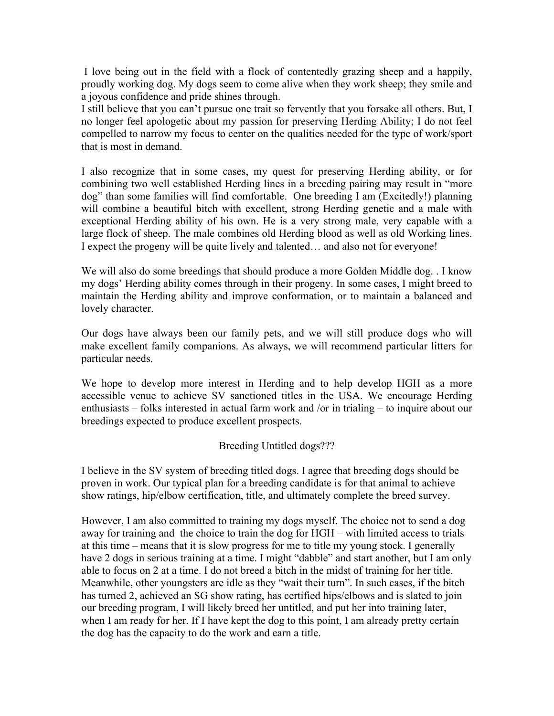I love being out in the field with a flock of contentedly grazing sheep and a happily, proudly working dog. My dogs seem to come alive when they work sheep; they smile and a joyous confidence and pride shines through.

I still believe that you can't pursue one trait so fervently that you forsake all others. But, I no longer feel apologetic about my passion for preserving Herding Ability; I do not feel compelled to narrow my focus to center on the qualities needed for the type of work/sport that is most in demand.

I also recognize that in some cases, my quest for preserving Herding ability, or for combining two well established Herding lines in a breeding pairing may result in "more dog" than some families will find comfortable. One breeding I am (Excitedly!) planning will combine a beautiful bitch with excellent, strong Herding genetic and a male with exceptional Herding ability of his own. He is a very strong male, very capable with a large flock of sheep. The male combines old Herding blood as well as old Working lines. I expect the progeny will be quite lively and talented… and also not for everyone!

We will also do some breedings that should produce a more Golden Middle dog. . I know my dogs' Herding ability comes through in their progeny. In some cases, I might breed to maintain the Herding ability and improve conformation, or to maintain a balanced and lovely character.

Our dogs have always been our family pets, and we will still produce dogs who will make excellent family companions. As always, we will recommend particular litters for particular needs.

We hope to develop more interest in Herding and to help develop HGH as a more accessible venue to achieve SV sanctioned titles in the USA. We encourage Herding enthusiasts – folks interested in actual farm work and /or in trialing – to inquire about our breedings expected to produce excellent prospects.

## Breeding Untitled dogs???

I believe in the SV system of breeding titled dogs. I agree that breeding dogs should be proven in work. Our typical plan for a breeding candidate is for that animal to achieve show ratings, hip/elbow certification, title, and ultimately complete the breed survey.

However, I am also committed to training my dogs myself. The choice not to send a dog away for training and the choice to train the dog for HGH – with limited access to trials at this time – means that it is slow progress for me to title my young stock. I generally have 2 dogs in serious training at a time. I might "dabble" and start another, but I am only able to focus on 2 at a time. I do not breed a bitch in the midst of training for her title. Meanwhile, other youngsters are idle as they "wait their turn". In such cases, if the bitch has turned 2, achieved an SG show rating, has certified hips/elbows and is slated to join our breeding program, I will likely breed her untitled, and put her into training later, when I am ready for her. If I have kept the dog to this point, I am already pretty certain the dog has the capacity to do the work and earn a title.